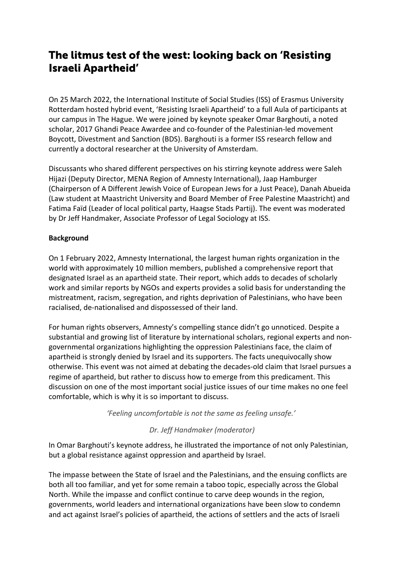# The litmus test of the west: looking back on 'Resisting Israeli Apartheid'

On 25 March 2022, the International Institute of Social Studies (ISS) of Erasmus University Rotterdam hosted hybrid event, 'Resisting Israeli Apartheid' to a full Aula of participants at our campus in The Hague. We were joined by keynote speaker Omar Barghouti, a noted scholar, 2017 Ghandi Peace Awardee and co-founder of the Palestinian-led movement Boycott, Divestment and Sanction (BDS). Barghouti is a former ISS research fellow and currently a doctoral researcher at the University of Amsterdam.

Discussants who shared different perspectives on his stirring keynote address were Saleh Hijazi (Deputy Director, MENA Region of Amnesty International), Jaap Hamburger (Chairperson of A Different Jewish Voice of European Jews for a Just Peace), Danah Abueida (Law student at Maastricht University and Board Member of Free Palestine Maastricht) and Fatima Faïd (Leader of local political party, Haagse Stads Partij). The event was moderated by Dr Jeff Handmaker, Associate Professor of Legal Sociology at ISS.

## **Background**

On 1 February 2022, Amnesty International, the largest human rights organization in the world with approximately 10 million members, published a comprehensive report that designated Israel as an apartheid state. Their report, which adds to decades of scholarly work and similar reports by NGOs and experts provides a solid basis for understanding the mistreatment, racism, segregation, and rights deprivation of Palestinians, who have been racialised, de-nationalised and dispossessed of their land.

For human rights observers, Amnesty's compelling stance didn't go unnoticed. Despite a substantial and growing list of literature by international scholars, regional experts and nongovernmental organizations highlighting the oppression Palestinians face, the claim of apartheid is strongly denied by Israel and its supporters. The facts unequivocally show otherwise. This event was not aimed at debating the decades-old claim that Israel pursues a regime of apartheid, but rather to discuss how to emerge from this predicament. This discussion on one of the most important social justice issues of our time makes no one feel comfortable, which is why it is so important to discuss.

*'Feeling uncomfortable is not the same as feeling unsafe.'*

## *Dr. Jeff Handmaker (moderator)*

In Omar Barghouti's keynote address, he illustrated the importance of not only Palestinian, but a global resistance against oppression and apartheid by Israel.

The impasse between the State of Israel and the Palestinians, and the ensuing conflicts are both all too familiar, and yet for some remain a taboo topic, especially across the Global North. While the impasse and conflict continue to carve deep wounds in the region, governments, world leaders and international organizations have been slow to condemn and act against Israel's policies of apartheid, the actions of settlers and the acts of Israeli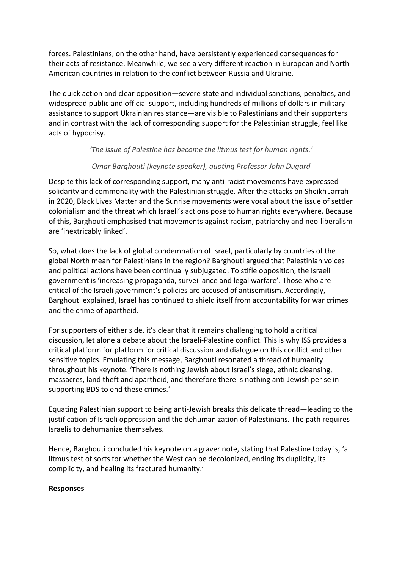forces. Palestinians, on the other hand, have persistently experienced consequences for their acts of resistance. Meanwhile, we see a very different reaction in European and North American countries in relation to the conflict between Russia and Ukraine.

The quick action and clear opposition—severe state and individual sanctions, penalties, and widespread public and official support, including hundreds of millions of dollars in military assistance to support Ukrainian resistance—are visible to Palestinians and their supporters and in contrast with the lack of corresponding support for the Palestinian struggle, feel like acts of hypocrisy.

## *'The issue of Palestine has become the litmus test for human rights.'*

## *Omar Barghouti (keynote speaker), quoting Professor John Dugard*

Despite this lack of corresponding support, many anti-racist movements have expressed solidarity and commonality with the Palestinian struggle. After the attacks on Sheikh Jarrah in 2020, Black Lives Matter and the Sunrise movements were vocal about the issue of settler colonialism and the threat which Israeli's actions pose to human rights everywhere. Because of this, Barghouti emphasised that movements against racism, patriarchy and neo-liberalism are 'inextricably linked'.

So, what does the lack of global condemnation of Israel, particularly by countries of the global North mean for Palestinians in the region? Barghouti argued that Palestinian voices and political actions have been continually subjugated. To stifle opposition, the Israeli government is 'increasing propaganda, surveillance and legal warfare'. Those who are critical of the Israeli government's policies are accused of antisemitism. Accordingly, Barghouti explained, Israel has continued to shield itself from accountability for war crimes and the crime of apartheid.

For supporters of either side, it's clear that it remains challenging to hold a critical discussion, let alone a debate about the Israeli-Palestine conflict. This is why ISS provides a critical platform for platform for critical discussion and dialogue on this conflict and other sensitive topics. Emulating this message, Barghouti resonated a thread of humanity throughout his keynote. 'There is nothing Jewish about Israel's siege, ethnic cleansing, massacres, land theft and apartheid, and therefore there is nothing anti-Jewish per se in supporting BDS to end these crimes.'

Equating Palestinian support to being anti-Jewish breaks this delicate thread—leading to the justification of Israeli oppression and the dehumanization of Palestinians. The path requires Israelis to dehumanize themselves.

Hence, Barghouti concluded his keynote on a graver note, stating that Palestine today is, 'a litmus test of sorts for whether the West can be decolonized, ending its duplicity, its complicity, and healing its fractured humanity.'

#### **Responses**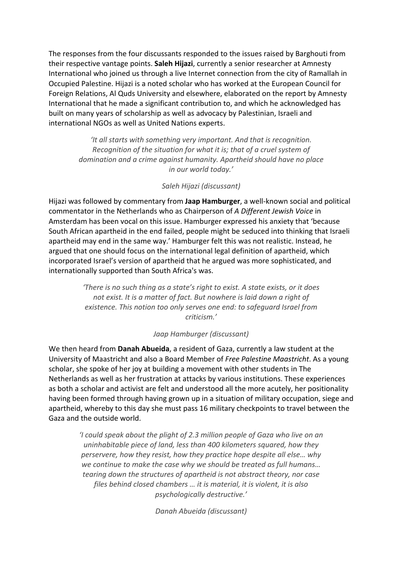The responses from the four discussants responded to the issues raised by Barghouti from their respective vantage points. **Saleh Hijazi**, currently a senior researcher at Amnesty International who joined us through a live Internet connection from the city of Ramallah in Occupied Palestine. Hijazi is a noted scholar who has worked at the European Council for Foreign Relations, Al Quds University and elsewhere, elaborated on the report by Amnesty International that he made a significant contribution to, and which he acknowledged has built on many years of scholarship as well as advocacy by Palestinian, Israeli and international NGOs as well as United Nations experts.

> *'It all starts with something very important. And that is recognition. Recognition of the situation for what it is; that of a cruel system of domination and a crime against humanity. Apartheid should have no place in our world today.'*

## *Saleh Hijazi (discussant)*

Hijazi was followed by commentary from **Jaap Hamburger**, a well-known social and political commentator in the Netherlands who as Chairperson of *A Different Jewish Voice* in Amsterdam has been vocal on this issue. Hamburger expressed his anxiety that 'because South African apartheid in the end failed, people might be seduced into thinking that Israeli apartheid may end in the same way.' Hamburger felt this was not realistic. Instead, he argued that one should focus on the international legal definition of apartheid, which incorporated Israel's version of apartheid that he argued was more sophisticated, and internationally supported than South Africa's was.

> *'There is no such thing as a state's right to exist. A state exists, or it does not exist. It is a matter of fact. But nowhere is laid down a right of existence. This notion too only serves one end: to safeguard Israel from criticism.'*

## *Jaap Hamburger (discussant)*

We then heard from **Danah Abueida**, a resident of Gaza, currently a law student at the University of Maastricht and also a Board Member of *Free Palestine Maastricht*. As a young scholar, she spoke of her joy at building a movement with other students in The Netherlands as well as her frustration at attacks by various institutions. These experiences as both a scholar and activist are felt and understood all the more acutely, her positionality having been formed through having grown up in a situation of military occupation, siege and apartheid, whereby to this day she must pass 16 military checkpoints to travel between the Gaza and the outside world.

> *'I could speak about the plight of 2.3 million people of Gaza who live on an uninhabitable piece of land, less than 400 kilometers squared, how they perservere, how they resist, how they practice hope despite all else… why we continue to make the case why we should be treated as full humans… tearing down the structures of apartheid is not abstract theory, nor case files behind closed chambers … it is material, it is violent, it is also psychologically destructive.'*

> > *Danah Abueida (discussant)*